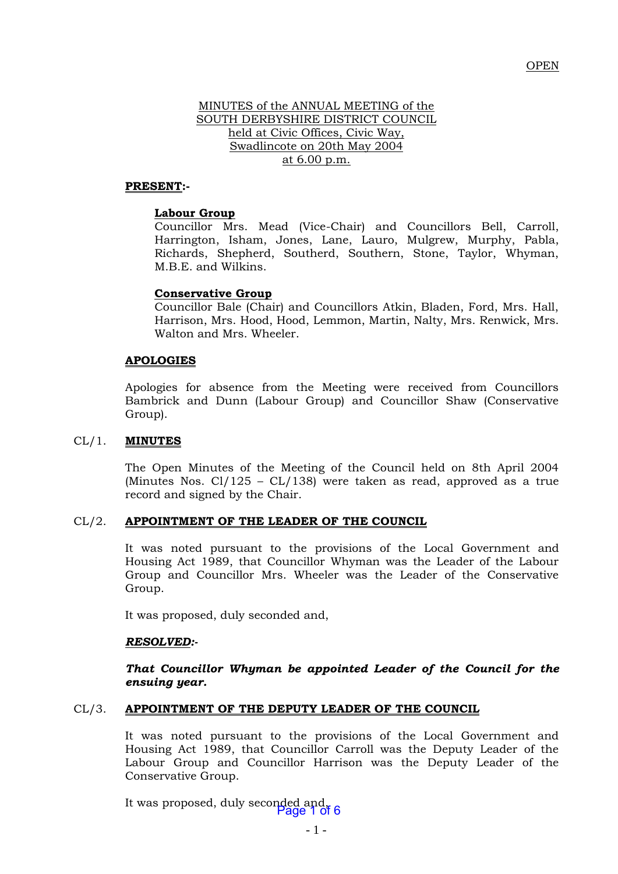### OPEN

# MINUTES of the ANNUAL MEETING of the SOUTH DERBYSHIRE DISTRICT COUNCIL held at Civic Offices, Civic Way, Swadlincote on 20th May 2004 at 6.00 p.m.

#### **PRESENT:-**

#### **Labour Group**

Councillor Mrs. Mead (Vice-Chair) and Councillors Bell, Carroll, Harrington, Isham, Jones, Lane, Lauro, Mulgrew, Murphy, Pabla, Richards, Shepherd, Southerd, Southern, Stone, Taylor, Whyman, M.B.E. and Wilkins.

#### **Conservative Group**

Councillor Bale (Chair) and Councillors Atkin, Bladen, Ford, Mrs. Hall, Harrison, Mrs. Hood, Hood, Lemmon, Martin, Nalty, Mrs. Renwick, Mrs. Walton and Mrs. Wheeler.

#### **APOLOGIES**

Apologies for absence from the Meeting were received from Councillors Bambrick and Dunn (Labour Group) and Councillor Shaw (Conservative Group).

### CL/1. **MINUTES**

The Open Minutes of the Meeting of the Council held on 8th April 2004 (Minutes Nos.  $Cl/125 - CL/138$ ) were taken as read, approved as a true record and signed by the Chair.

#### CL/2. **APPOINTMENT OF THE LEADER OF THE COUNCIL**

It was noted pursuant to the provisions of the Local Government and Housing Act 1989, that Councillor Whyman was the Leader of the Labour Group and Councillor Mrs. Wheeler was the Leader of the Conservative Group.

It was proposed, duly seconded and,

#### *RESOLVED:-*

*That Councillor Whyman be appointed Leader of the Council for the ensuing year.*

### CL/3. **APPOINTMENT OF THE DEPUTY LEADER OF THE COUNCIL**

It was noted pursuant to the provisions of the Local Government and Housing Act 1989, that Councillor Carroll was the Deputy Leader of the Labour Group and Councillor Harrison was the Deputy Leader of the Conservative Group.

It was proposed, duly seconded and, 16 6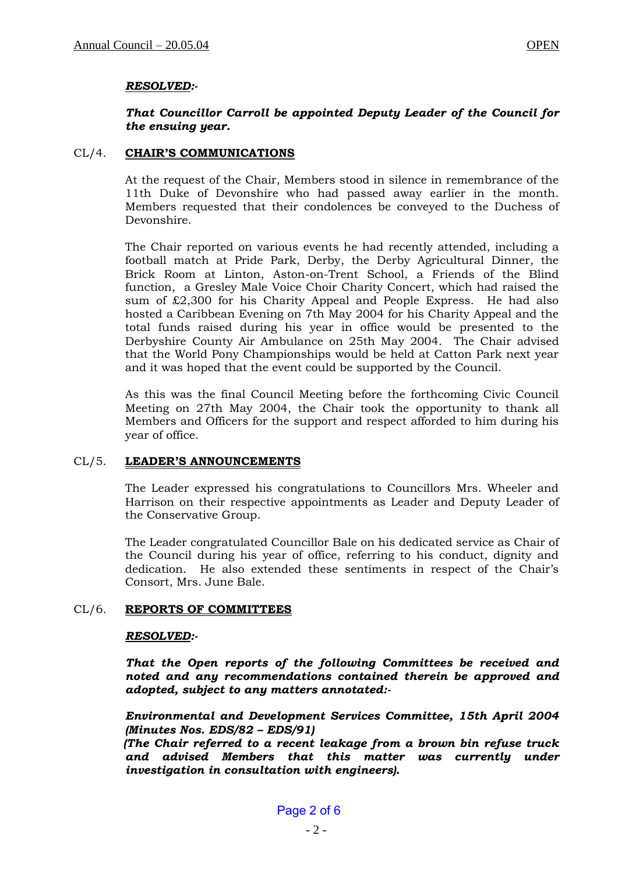# *RESOLVED:-*

# *That Councillor Carroll be appointed Deputy Leader of the Council for the ensuing year.*

### CL/4. **CHAIR'S COMMUNICATIONS**

At the request of the Chair, Members stood in silence in remembrance of the 11th Duke of Devonshire who had passed away earlier in the month. Members requested that their condolences be conveyed to the Duchess of Devonshire.

The Chair reported on various events he had recently attended, including a football match at Pride Park, Derby, the Derby Agricultural Dinner, the Brick Room at Linton, Aston-on-Trent School, a Friends of the Blind function, a Gresley Male Voice Choir Charity Concert, which had raised the sum of £2,300 for his Charity Appeal and People Express. He had also hosted a Caribbean Evening on 7th May 2004 for his Charity Appeal and the total funds raised during his year in office would be presented to the Derbyshire County Air Ambulance on 25th May 2004. The Chair advised that the World Pony Championships would be held at Catton Park next year and it was hoped that the event could be supported by the Council.

As this was the final Council Meeting before the forthcoming Civic Council Meeting on 27th May 2004, the Chair took the opportunity to thank all Members and Officers for the support and respect afforded to him during his year of office.

# CL/5. **LEADER'S ANNOUNCEMENTS**

The Leader expressed his congratulations to Councillors Mrs. Wheeler and Harrison on their respective appointments as Leader and Deputy Leader of the Conservative Group.

The Leader congratulated Councillor Bale on his dedicated service as Chair of the Council during his year of office, referring to his conduct, dignity and dedication. He also extended these sentiments in respect of the Chair's Consort, Mrs. June Bale.

# CL/6. **REPORTS OF COMMITTEES**

#### *RESOLVED:-*

*That the Open reports of the following Committees be received and noted and any recommendations contained therein be approved and adopted, subject to any matters annotated:-*

*Environmental and Development Services Committee, 15th April 2004 (Minutes Nos. EDS/82 – EDS/91)*

*(The Chair referred to a recent leakage from a brown bin refuse truck and advised Members that this matter was currently under investigation in consultation with engineers).*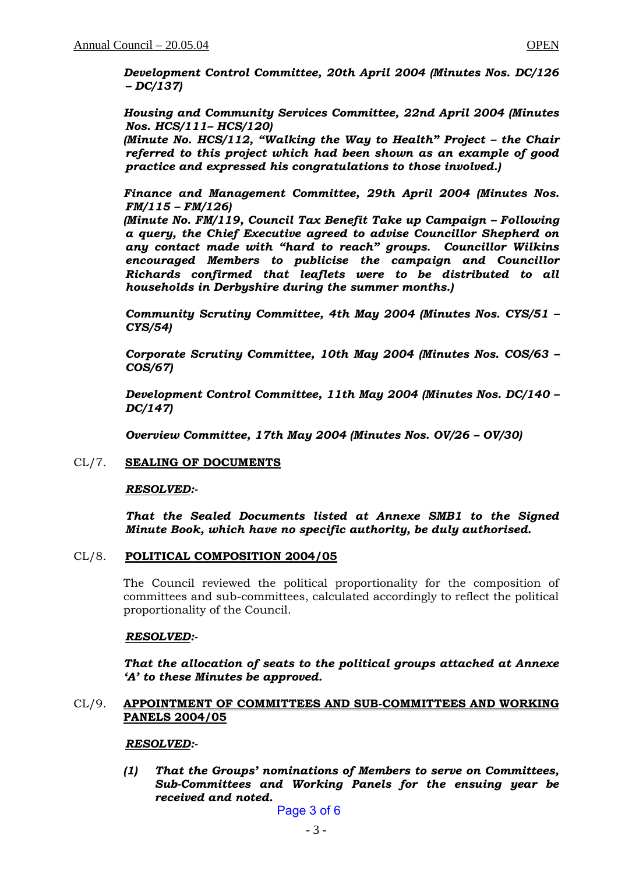*Development Control Committee, 20th April 2004 (Minutes Nos. DC/126 – DC/137)*

*Housing and Community Services Committee, 22nd April 2004 (Minutes Nos. HCS/111– HCS/120)*

*(Minute No. HCS/112, "Walking the Way to Health" Project – the Chair referred to this project which had been shown as an example of good practice and expressed his congratulations to those involved.)*

*Finance and Management Committee, 29th April 2004 (Minutes Nos. FM/115 – FM/126)*

*(Minute No. FM/119, Council Tax Benefit Take up Campaign – Following a query, the Chief Executive agreed to advise Councillor Shepherd on any contact made with "hard to reach" groups. Councillor Wilkins encouraged Members to publicise the campaign and Councillor Richards confirmed that leaflets were to be distributed to all households in Derbyshire during the summer months.)*

*Community Scrutiny Committee, 4th May 2004 (Minutes Nos. CYS/51 – CYS/54)*

*Corporate Scrutiny Committee, 10th May 2004 (Minutes Nos. COS/63 – COS/67)*

*Development Control Committee, 11th May 2004 (Minutes Nos. DC/140 – DC/147)*

*Overview Committee, 17th May 2004 (Minutes Nos. OV/26 – OV/30)*

# CL/7. **SEALING OF DOCUMENTS**

# *RESOLVED:-*

*That the Sealed Documents listed at Annexe SMB1 to the Signed Minute Book, which have no specific authority, be duly authorised.*

# CL/8. **POLITICAL COMPOSITION 2004/05**

The Council reviewed the political proportionality for the composition of committees and sub-committees, calculated accordingly to reflect the political proportionality of the Council.

#### *RESOLVED:-*

*That the allocation of seats to the political groups attached at Annexe 'A' to these Minutes be approved.*

### CL/9. **APPOINTMENT OF COMMITTEES AND SUB-COMMITTEES AND WORKING PANELS 2004/05**

#### *RESOLVED:-*

*(1) That the Groups' nominations of Members to serve on Committees, Sub-Committees and Working Panels for the ensuing year be received and noted.*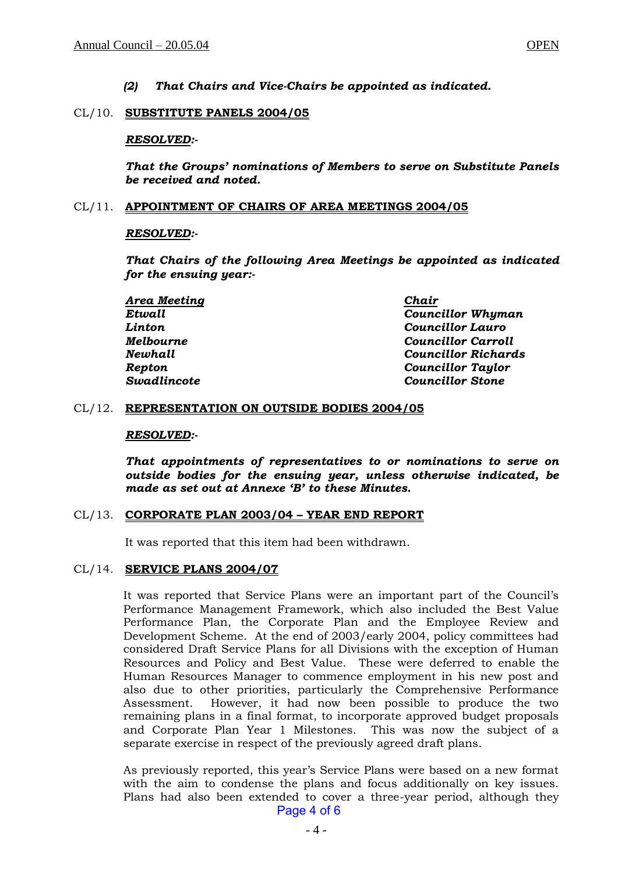*(2) That Chairs and Vice-Chairs be appointed as indicated.*

### CL/10. **SUBSTITUTE PANELS 2004/05**

### *RESOLVED:-*

*That the Groups' nominations of Members to serve on Substitute Panels be received and noted.*

### CL/11. **APPOINTMENT OF CHAIRS OF AREA MEETINGS 2004/05**

# *RESOLVED:-*

*That Chairs of the following Area Meetings be appointed as indicated for the ensuing year:-*

| Area Meeting | Chair                      |
|--------------|----------------------------|
| Etwall       | <b>Councillor Whyman</b>   |
| Linton       | <b>Councillor Lauro</b>    |
| Melbourne    | <b>Councillor Carroll</b>  |
| Newhall      | <b>Councillor Richards</b> |
| Repton       | <b>Councillor Taylor</b>   |
| Swadlincote  | <b>Councillor Stone</b>    |

### CL/12. **REPRESENTATION ON OUTSIDE BODIES 2004/05**

#### *RESOLVED:-*

*That appointments of representatives to or nominations to serve on outside bodies for the ensuing year, unless otherwise indicated, be made as set out at Annexe 'B' to these Minutes.*

# CL/13. **CORPORATE PLAN 2003/04 – YEAR END REPORT**

It was reported that this item had been withdrawn.

### CL/14. **SERVICE PLANS 2004/07**

It was reported that Service Plans were an important part of the Council's Performance Management Framework, which also included the Best Value Performance Plan, the Corporate Plan and the Employee Review and Development Scheme. At the end of 2003/early 2004, policy committees had considered Draft Service Plans for all Divisions with the exception of Human Resources and Policy and Best Value. These were deferred to enable the Human Resources Manager to commence employment in his new post and also due to other priorities, particularly the Comprehensive Performance Assessment. However, it had now been possible to produce the two remaining plans in a final format, to incorporate approved budget proposals and Corporate Plan Year 1 Milestones. This was now the subject of a separate exercise in respect of the previously agreed draft plans.

As previously reported, this year's Service Plans were based on a new format with the aim to condense the plans and focus additionally on key issues. Plans had also been extended to cover a three-year period, although they Page 4 of 6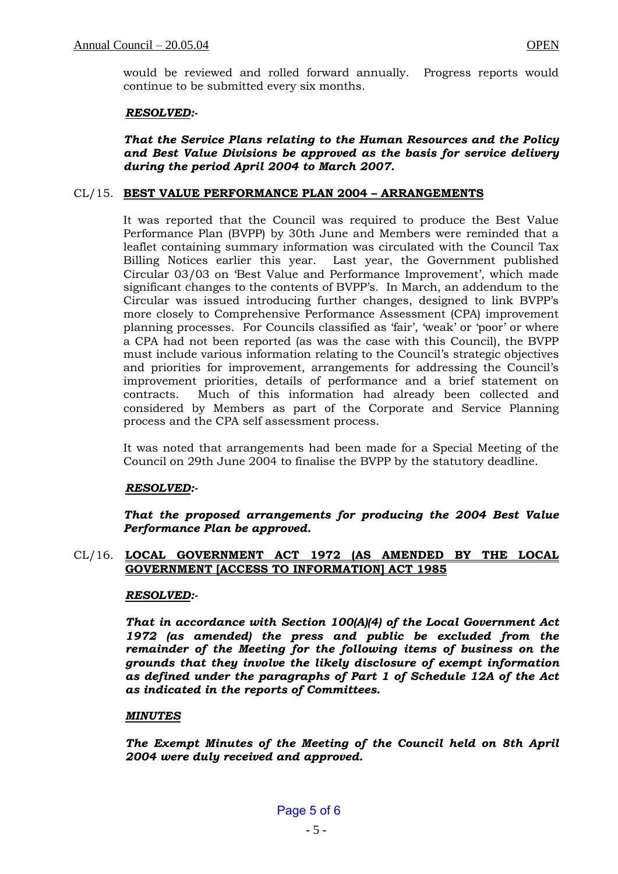would be reviewed and rolled forward annually. Progress reports would continue to be submitted every six months.

# *RESOLVED:-*

*That the Service Plans relating to the Human Resources and the Policy and Best Value Divisions be approved as the basis for service delivery during the period April 2004 to March 2007.*

# CL/15. **BEST VALUE PERFORMANCE PLAN 2004 – ARRANGEMENTS**

It was reported that the Council was required to produce the Best Value Performance Plan (BVPP) by 30th June and Members were reminded that a leaflet containing summary information was circulated with the Council Tax Billing Notices earlier this year. Last year, the Government published Circular 03/03 on 'Best Value and Performance Improvement', which made significant changes to the contents of BVPP's. In March, an addendum to the Circular was issued introducing further changes, designed to link BVPP's more closely to Comprehensive Performance Assessment (CPA) improvement planning processes. For Councils classified as 'fair', 'weak' or 'poor' or where a CPA had not been reported (as was the case with this Council), the BVPP must include various information relating to the Council's strategic objectives and priorities for improvement, arrangements for addressing the Council's improvement priorities, details of performance and a brief statement on contracts. Much of this information had already been collected and considered by Members as part of the Corporate and Service Planning process and the CPA self assessment process.

It was noted that arrangements had been made for a Special Meeting of the Council on 29th June 2004 to finalise the BVPP by the statutory deadline.

# *RESOLVED:-*

*That the proposed arrangements for producing the 2004 Best Value Performance Plan be approved.* 

# CL/16. **LOCAL GOVERNMENT ACT 1972 (AS AMENDED BY THE LOCAL GOVERNMENT [ACCESS TO INFORMATION] ACT 1985**

# *RESOLVED:-*

*That in accordance with Section 100(A)(4) of the Local Government Act 1972 (as amended) the press and public be excluded from the remainder of the Meeting for the following items of business on the grounds that they involve the likely disclosure of exempt information as defined under the paragraphs of Part 1 of Schedule 12A of the Act as indicated in the reports of Committees.*

# *MINUTES*

*The Exempt Minutes of the Meeting of the Council held on 8th April 2004 were duly received and approved.*